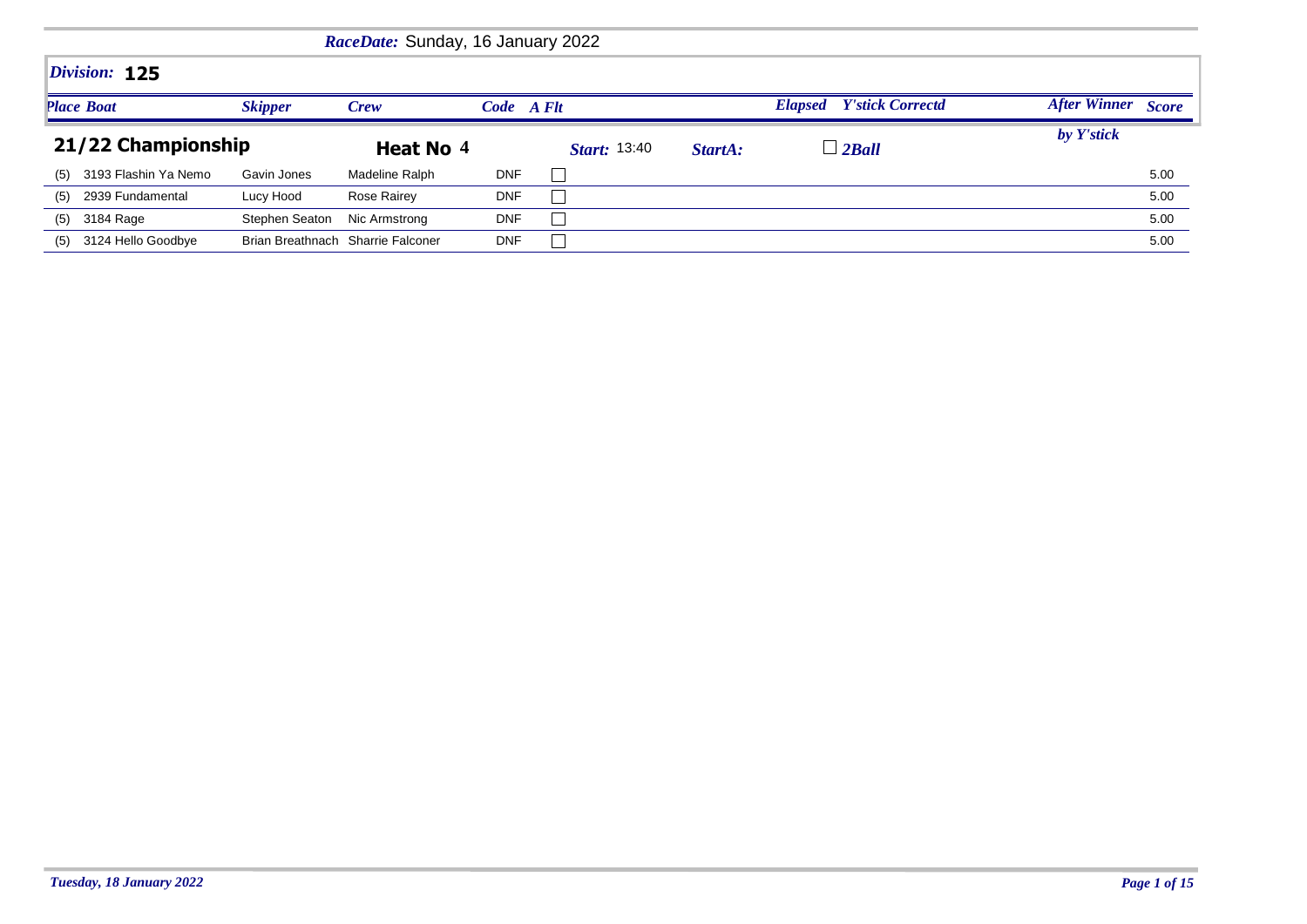|     |                      |                | RaceDate: Sunday, 16 January 2022 |            |                     |         |                                           |                    |
|-----|----------------------|----------------|-----------------------------------|------------|---------------------|---------|-------------------------------------------|--------------------|
|     | Division: 125        |                |                                   |            |                     |         |                                           |                    |
|     | <b>Place Boat</b>    | <b>Skipper</b> | Crew                              | Code A Flt |                     |         | <b>Y'stick Correctd</b><br><b>Elapsed</b> | After Winner Score |
|     | 21/22 Championship   |                | Heat No 4                         |            | <b>Start:</b> 13:40 | StartA: | $\overline{\phantom{a}}$ 2Ball            | by Y'stick         |
| (5) | 3193 Flashin Ya Nemo | Gavin Jones    | Madeline Ralph                    | <b>DNF</b> |                     |         |                                           | 5.00               |
| (5) | 2939 Fundamental     | Lucy Hood      | Rose Rairey                       | <b>DNF</b> |                     |         |                                           | 5.00               |
| (5) | 3184 Rage            | Stephen Seaton | Nic Armstrong                     | <b>DNF</b> |                     |         |                                           | 5.00               |
| (5) | 3124 Hello Goodbye   |                | Brian Breathnach Sharrie Falconer | <b>DNF</b> |                     |         |                                           | 5.00               |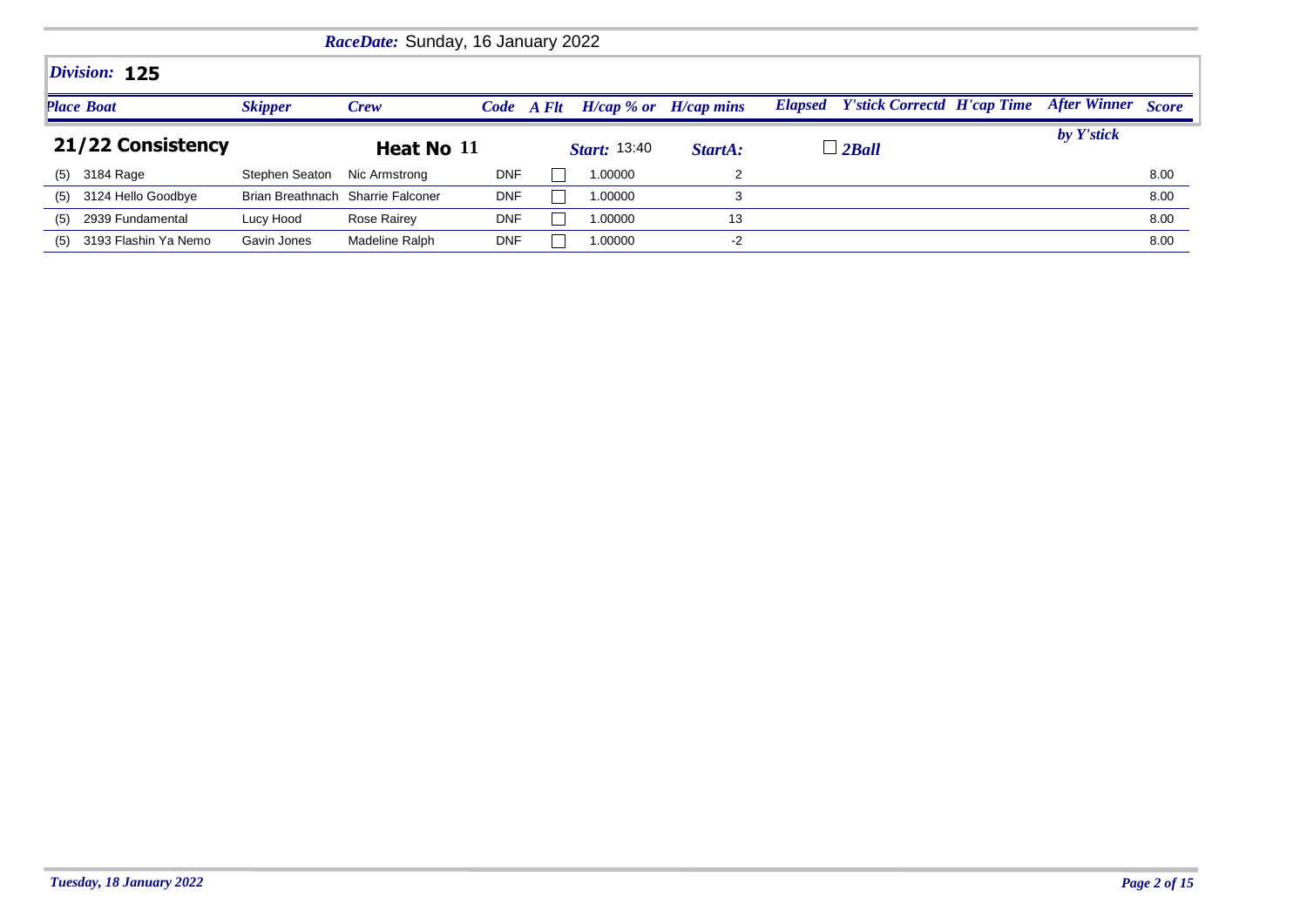| RaceDate: Sunday, 16 January 2022 |                      |                                   |                |            |  |                     |                           |                                            |  |                           |      |  |
|-----------------------------------|----------------------|-----------------------------------|----------------|------------|--|---------------------|---------------------------|--------------------------------------------|--|---------------------------|------|--|
|                                   | Division: 125        |                                   |                |            |  |                     |                           |                                            |  |                           |      |  |
| <b>Place Boat</b>                 |                      | <b>Skipper</b>                    | <b>Crew</b>    | Code A Flt |  |                     | $H/cap$ % or $H/cap$ mins | <b>Elapsed</b> Y'stick Correctd H'cap Time |  | <b>After Winner</b> Score |      |  |
|                                   | 21/22 Consistency    |                                   | Heat No 11     |            |  | <b>Start:</b> 13:40 | StartA:                   | $\Box$ 2Ball                               |  | by Y'stick                |      |  |
| (5)                               | 3184 Rage            | Stephen Seaton                    | Nic Armstrong  | <b>DNF</b> |  | 1.00000             |                           |                                            |  |                           | 8.00 |  |
| (5)                               | 3124 Hello Goodbye   | Brian Breathnach Sharrie Falconer |                | <b>DNF</b> |  | 1.00000             |                           |                                            |  |                           | 8.00 |  |
| (5)                               | 2939 Fundamental     | Lucy Hood                         | Rose Rairey    | <b>DNF</b> |  | 1.00000             | 13                        |                                            |  |                           | 8.00 |  |
| (5)                               | 3193 Flashin Ya Nemo | Gavin Jones                       | Madeline Ralph | <b>DNF</b> |  | 1.00000             | $-2$                      |                                            |  |                           | 8.00 |  |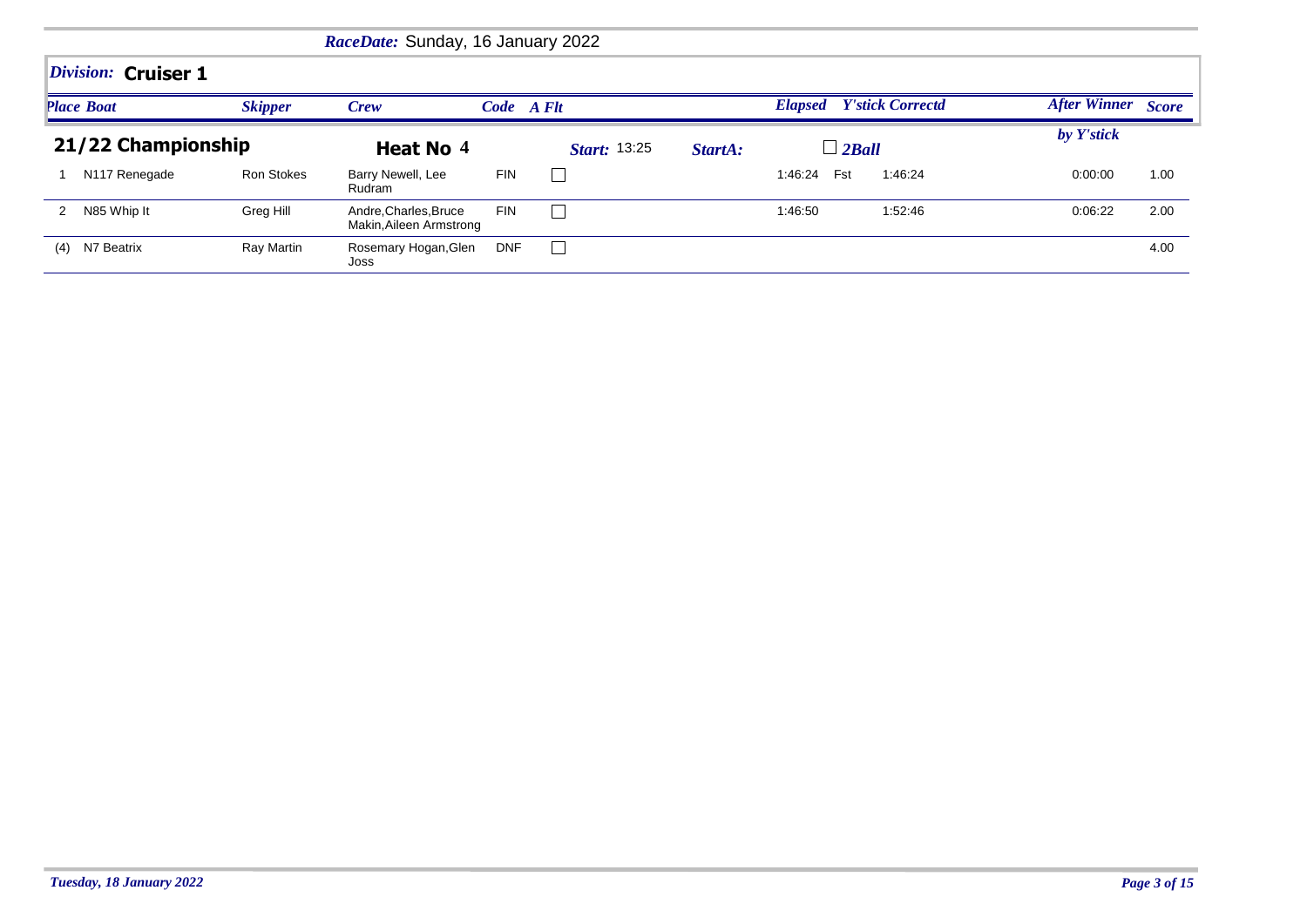|                     |                   | RaceDate: Sunday, 16 January 2022                |            |                     |         |                                 |         |                    |      |
|---------------------|-------------------|--------------------------------------------------|------------|---------------------|---------|---------------------------------|---------|--------------------|------|
| Division: Cruiser 1 |                   |                                                  |            |                     |         |                                 |         |                    |      |
| <b>Place Boat</b>   | <b>Skipper</b>    | Crew                                             | Code A Flt |                     |         | <b>Elapsed</b> Y'stick Correctd |         | After Winner Score |      |
| 21/22 Championship  |                   | Heat No 4                                        |            | <b>Start: 13:25</b> | StartA: | $\Box$ 2Ball                    |         | by Y'stick         |      |
| N117 Renegade       | <b>Ron Stokes</b> | Barry Newell, Lee<br>Rudram                      | <b>FIN</b> |                     |         | Fst<br>1:46:24                  | 1:46:24 | 0:00:00            | 1.00 |
| N85 Whip It<br>2    | Greg Hill         | Andre, Charles, Bruce<br>Makin, Aileen Armstrong | <b>FIN</b> |                     |         | 1:46:50                         | 1:52:46 | 0:06:22            | 2.00 |
| N7 Beatrix<br>(4)   | Ray Martin        | Rosemary Hogan, Glen<br>Joss                     | <b>DNF</b> |                     |         |                                 |         |                    | 4.00 |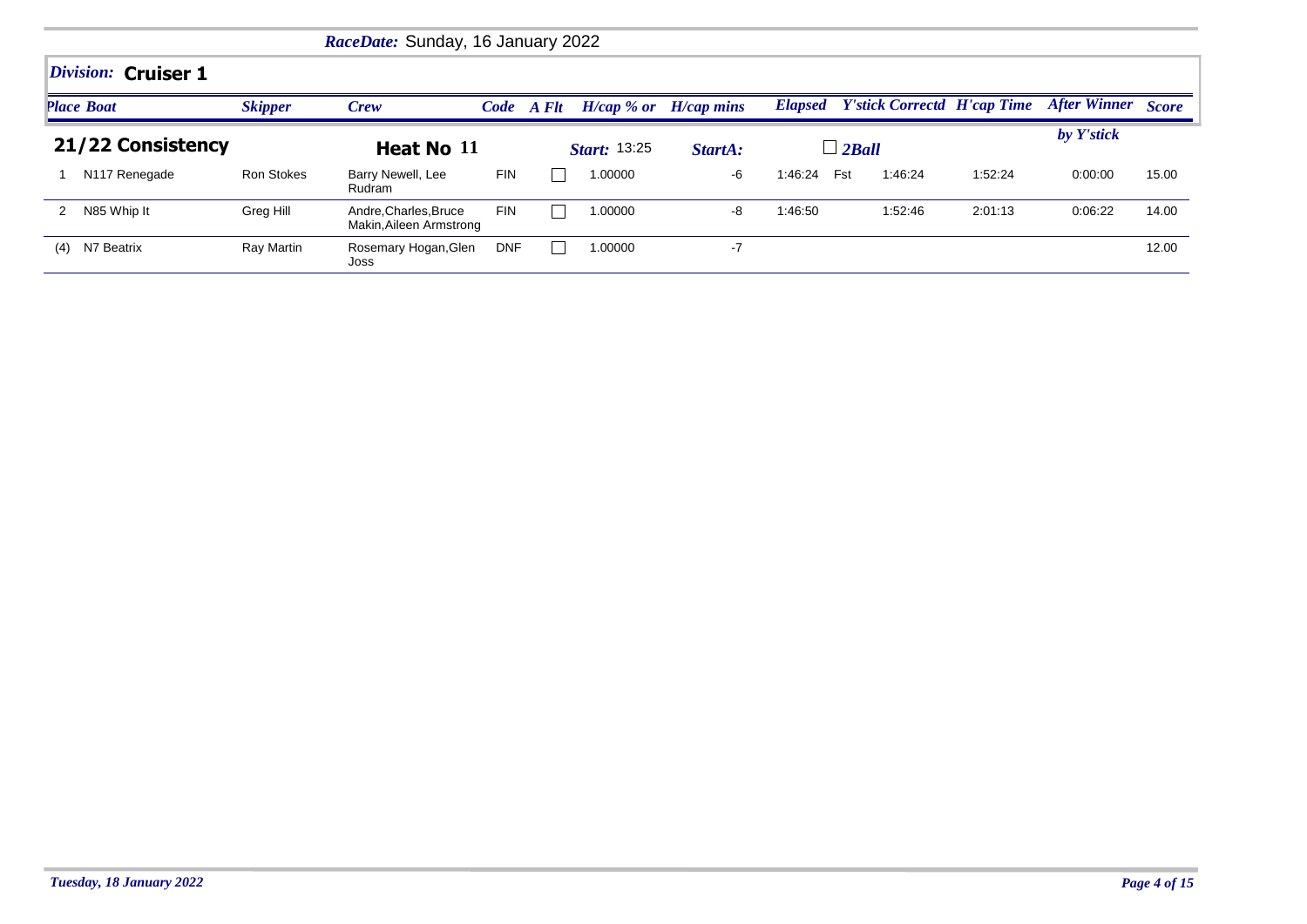|     |                           |                | RaceDate: Sunday, 16 January 2022                |            |            |                     |                              |                |                                    |         |                           |       |
|-----|---------------------------|----------------|--------------------------------------------------|------------|------------|---------------------|------------------------------|----------------|------------------------------------|---------|---------------------------|-------|
|     | Division: Cruiser 1       |                |                                                  |            |            |                     |                              |                |                                    |         |                           |       |
|     | <b>Place Boat</b>         | <b>Skipper</b> | Crew                                             |            | Code A Flt |                     | $H/cap \, %$ or $H/cap$ mins | <b>Elapsed</b> | <b>Y'stick Correctd H'cap Time</b> |         | <b>After Winner Score</b> |       |
|     | 21/22 Consistency         |                | Heat No 11                                       |            |            | <b>Start: 13:25</b> | StartA:                      |                | $\Box$ 2Ball                       |         | by Y'stick                |       |
|     | N <sub>117</sub> Renegade | Ron Stokes     | Barry Newell, Lee<br>Rudram                      | <b>FIN</b> |            | 1.00000             | -6                           | 1:46:24        | Fst<br>1:46:24                     | 1:52:24 | 0:00:00                   | 15.00 |
|     | N85 Whip It               | Greg Hill      | Andre, Charles, Bruce<br>Makin, Aileen Armstrong | <b>FIN</b> |            | 1.00000             | -8                           | 1:46:50        | 1:52:46                            | 2:01:13 | 0:06:22                   | 14.00 |
| (4) | N7 Beatrix                | Ray Martin     | Rosemary Hogan, Glen<br>Joss                     | <b>DNF</b> |            | 1.00000             | -7                           |                |                                    |         |                           | 12.00 |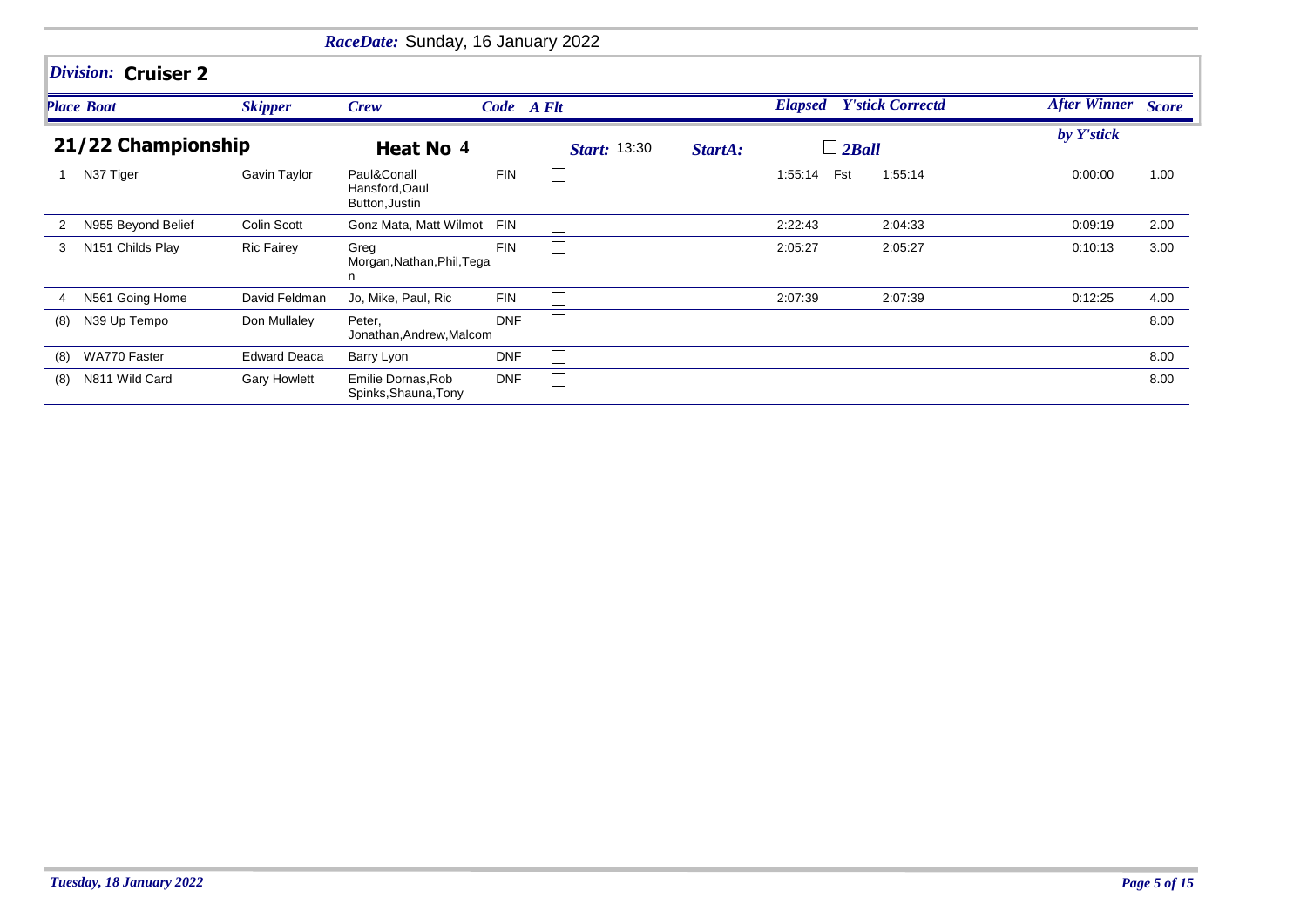|     |                     |                     | RaceDate: Sunday, 16 January 2022               |            |                     |         |                                 |         |                    |      |
|-----|---------------------|---------------------|-------------------------------------------------|------------|---------------------|---------|---------------------------------|---------|--------------------|------|
|     | Division: Cruiser 2 |                     |                                                 |            |                     |         |                                 |         |                    |      |
|     | <b>Place Boat</b>   | <b>Skipper</b>      | <b>Crew</b>                                     | Code A Flt |                     |         | <b>Elapsed</b> Y'stick Correctd |         | After Winner Score |      |
|     | 21/22 Championship  |                     | Heat No 4                                       |            | <b>Start:</b> 13:30 | StartA: | $\Box$ 2Ball                    |         | by Y'stick         |      |
|     | N37 Tiger           | Gavin Taylor        | Paul&Conall<br>Hansford, Oaul<br>Button, Justin | <b>FIN</b> |                     |         | Fst<br>1:55:14                  | 1:55:14 | 0:00:00            | 1.00 |
| 2   | N955 Beyond Belief  | <b>Colin Scott</b>  | Gonz Mata, Matt Wilmot                          | <b>FIN</b> |                     |         | 2:22:43                         | 2:04:33 | 0:09:19            | 2.00 |
| 3   | N151 Childs Play    | <b>Ric Fairey</b>   | Greg<br>Morgan, Nathan, Phil, Tega<br>n         | <b>FIN</b> |                     |         | 2:05:27                         | 2:05:27 | 0:10:13            | 3.00 |
|     | N561 Going Home     | David Feldman       | Jo, Mike, Paul, Ric                             | <b>FIN</b> |                     |         | 2:07:39                         | 2:07:39 | 0:12:25            | 4.00 |
| (8) | N39 Up Tempo        | Don Mullaley        | Peter,<br>Jonathan, Andrew, Malcom              | <b>DNF</b> |                     |         |                                 |         |                    | 8.00 |
| (8) | WA770 Faster        | <b>Edward Deaca</b> | Barry Lyon                                      | <b>DNF</b> |                     |         |                                 |         |                    | 8.00 |
| (8) | N811 Wild Card      | <b>Gary Howlett</b> | Emilie Dornas, Rob<br>Spinks, Shauna, Tony      | <b>DNF</b> |                     |         |                                 |         |                    | 8.00 |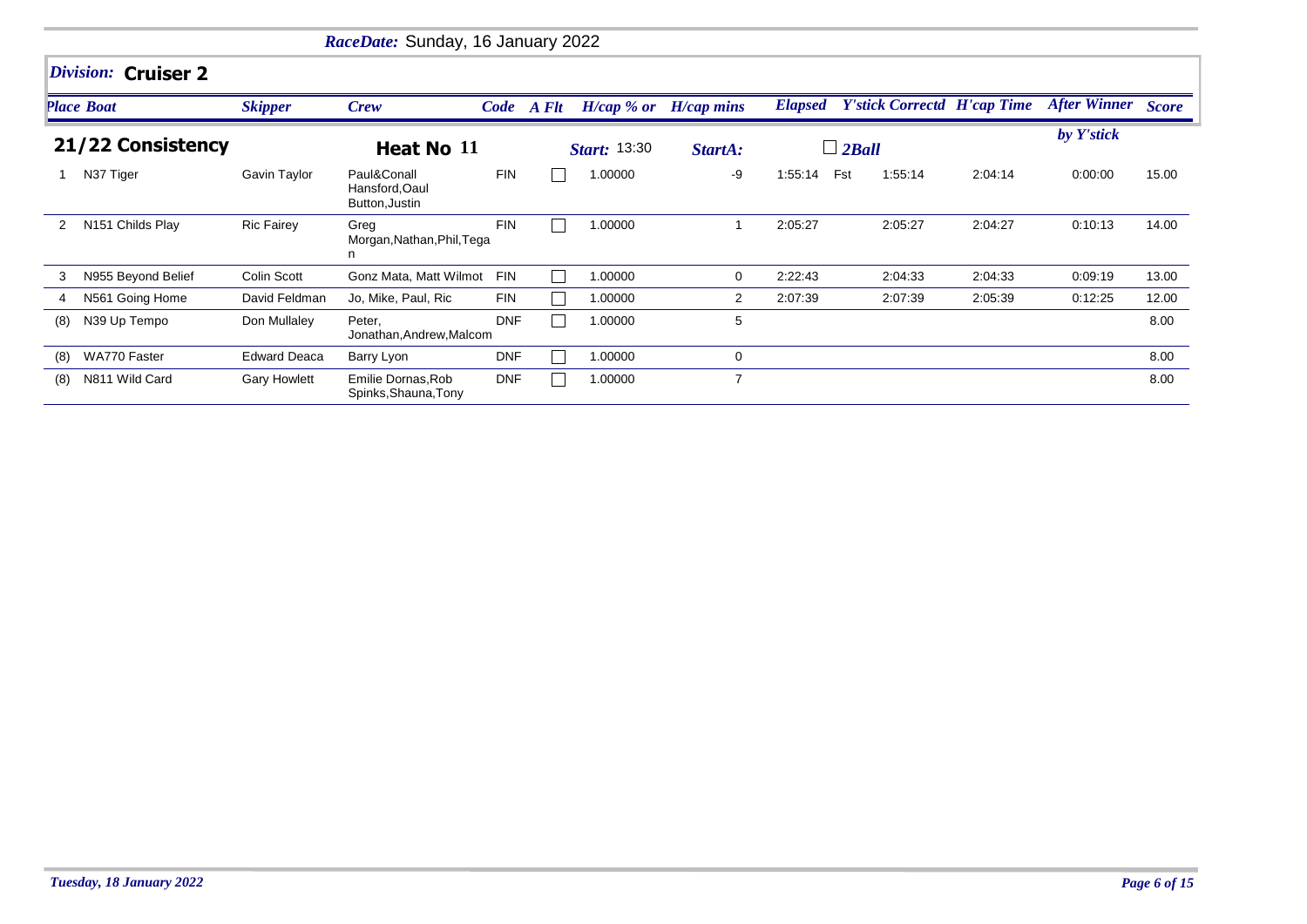|     |                     |                     | RaceDate: Sunday, 16 January 2022               |            |            |                           |         |                |                                    |         |                           |       |
|-----|---------------------|---------------------|-------------------------------------------------|------------|------------|---------------------------|---------|----------------|------------------------------------|---------|---------------------------|-------|
|     | Division: Cruiser 2 |                     |                                                 |            |            |                           |         |                |                                    |         |                           |       |
|     | <b>Place Boat</b>   | <b>Skipper</b>      | Crew                                            |            | Code A Flt | $H/cap$ % or $H/cap$ mins |         | <b>Elapsed</b> | <b>Y'stick Correctd H'cap Time</b> |         | <b>After Winner</b> Score |       |
|     | 21/22 Consistency   |                     | Heat No 11                                      |            |            | <b>Start:</b> 13:30       | StartA: |                | $\Box$ 2Ball                       |         | by Y'stick                |       |
|     | N37 Tiger           | Gavin Taylor        | Paul&Conall<br>Hansford, Oaul<br>Button, Justin | <b>FIN</b> |            | 1.00000                   | -9      | 1:55:14        | Fst<br>1:55:14                     | 2:04:14 | 0:00:00                   | 15.00 |
| 2   | N151 Childs Play    | <b>Ric Fairey</b>   | Greg<br>Morgan, Nathan, Phil, Tega<br>n         | <b>FIN</b> |            | 1.00000                   | 1       | 2:05:27        | 2:05:27                            | 2:04:27 | 0:10:13                   | 14.00 |
| 3   | N955 Beyond Belief  | Colin Scott         | Gonz Mata, Matt Wilmot                          | <b>FIN</b> |            | 1.00000                   | 0       | 2:22:43        | 2:04:33                            | 2:04:33 | 0:09:19                   | 13.00 |
| 4   | N561 Going Home     | David Feldman       | Jo, Mike, Paul, Ric                             | <b>FIN</b> |            | 1.00000                   | 2       | 2:07:39        | 2:07:39                            | 2:05:39 | 0:12:25                   | 12.00 |
| (8) | N39 Up Tempo        | Don Mullaley        | Peter,<br>Jonathan, Andrew, Malcom              | <b>DNF</b> |            | 1.00000                   | 5       |                |                                    |         |                           | 8.00  |
| (8) | WA770 Faster        | <b>Edward Deaca</b> | Barry Lyon                                      | <b>DNF</b> |            | 1.00000                   | 0       |                |                                    |         |                           | 8.00  |
| (8) | N811 Wild Card      | <b>Gary Howlett</b> | Emilie Dornas, Rob<br>Spinks, Shauna, Tony      | <b>DNF</b> |            | 1.00000                   | 7       |                |                                    |         |                           | 8.00  |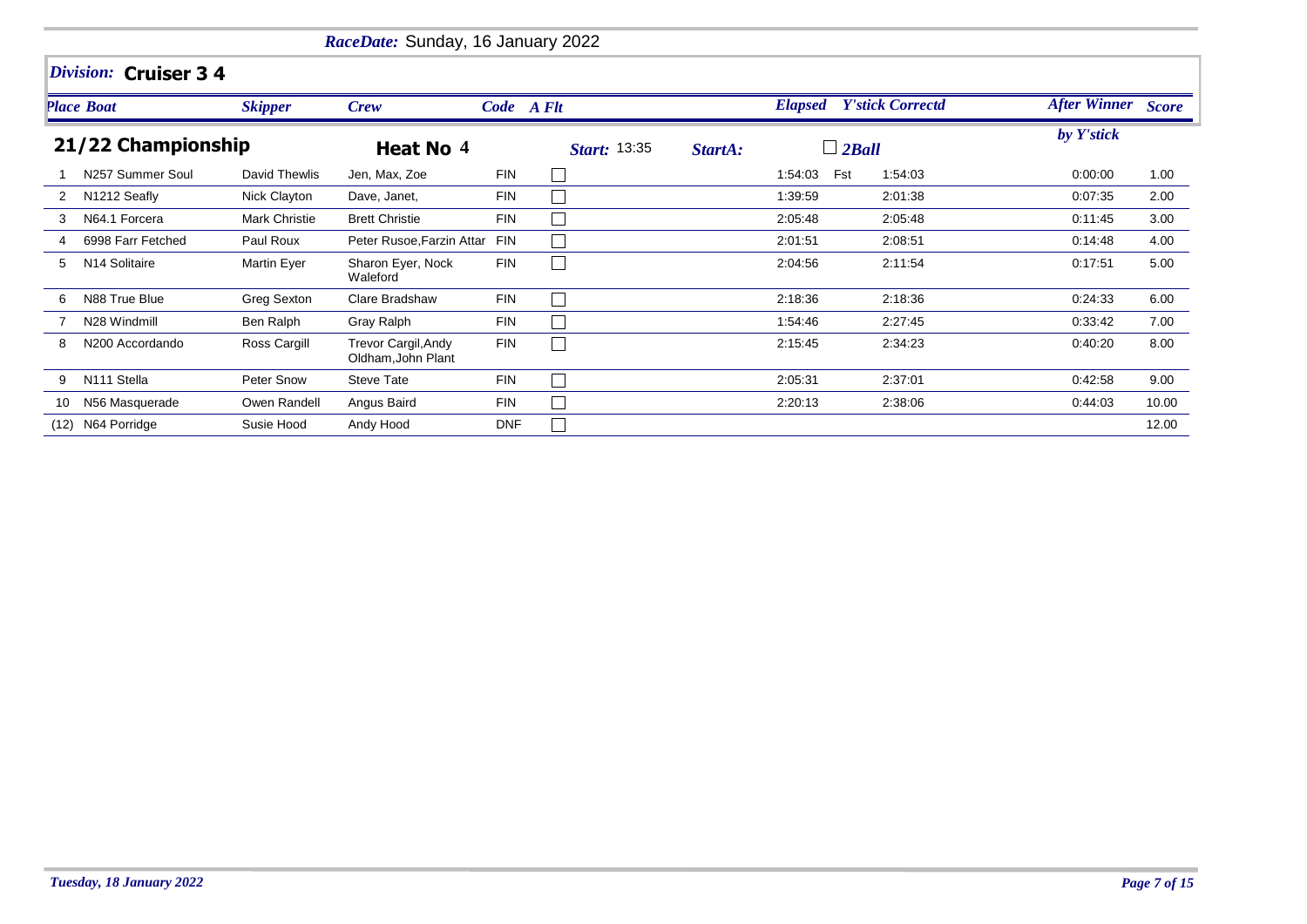|      |                           |                      | RaceDate: Sunday, 16 January 2022                |            |                     |         |                |                         |                           |       |
|------|---------------------------|----------------------|--------------------------------------------------|------------|---------------------|---------|----------------|-------------------------|---------------------------|-------|
|      | Division: Cruiser 3 4     |                      |                                                  |            |                     |         |                |                         |                           |       |
|      | <b>Place Boat</b>         | <b>Skipper</b>       | <b>Crew</b>                                      |            | Code A Flt          |         | <b>Elapsed</b> | <b>Y'stick Correctd</b> | <b>After Winner</b> Score |       |
|      | 21/22 Championship        |                      | Heat No 4                                        |            | <b>Start: 13:35</b> | StartA: | $\Box$ 2Ball   |                         | by Y'stick                |       |
|      | N257 Summer Soul          | David Thewlis        | Jen, Max, Zoe                                    | <b>FIN</b> |                     |         | 1:54:03<br>Fst | 1:54:03                 | 0:00:00                   | 1.00  |
| 2    | N1212 Seafly              | Nick Clayton         | Dave, Janet,                                     | <b>FIN</b> | $\mathbf{I}$        |         | 1:39:59        | 2:01:38                 | 0:07:35                   | 2.00  |
| 3    | N64.1 Forcera             | <b>Mark Christie</b> | <b>Brett Christie</b>                            | <b>FIN</b> |                     |         | 2:05:48        | 2:05:48                 | 0:11:45                   | 3.00  |
| 4    | 6998 Farr Fetched         | Paul Roux            | Peter Rusoe, Farzin Attar                        | <b>FIN</b> |                     |         | 2:01:51        | 2:08:51                 | 0.14:48                   | 4.00  |
| 5    | N <sub>14</sub> Solitaire | Martin Eyer          | Sharon Eyer, Nock<br>Waleford                    | <b>FIN</b> |                     |         | 2:04:56        | 2:11:54                 | 0:17:51                   | 5.00  |
| 6    | N88 True Blue             | Greg Sexton          | Clare Bradshaw                                   | <b>FIN</b> |                     |         | 2:18:36        | 2:18:36                 | 0:24:33                   | 6.00  |
|      | N28 Windmill              | Ben Ralph            | Gray Ralph                                       | <b>FIN</b> |                     |         | 1:54:46        | 2:27:45                 | 0:33:42                   | 7.00  |
| 8    | N200 Accordando           | Ross Cargill         | <b>Trevor Cargil, Andy</b><br>Oldham, John Plant | <b>FIN</b> |                     |         | 2:15:45        | 2:34:23                 | 0.40:20                   | 8.00  |
| 9    | N <sub>111</sub> Stella   | Peter Snow           | <b>Steve Tate</b>                                | <b>FIN</b> |                     |         | 2.05.31        | 2:37:01                 | 0:42:58                   | 9.00  |
| 10   | N56 Masquerade            | Owen Randell         | Angus Baird                                      | <b>FIN</b> |                     |         | 2:20:13        | 2:38:06                 | 0.44:03                   | 10.00 |
| (12) | N64 Porridge              | Susie Hood           | Andy Hood                                        | <b>DNF</b> |                     |         |                |                         |                           | 12.00 |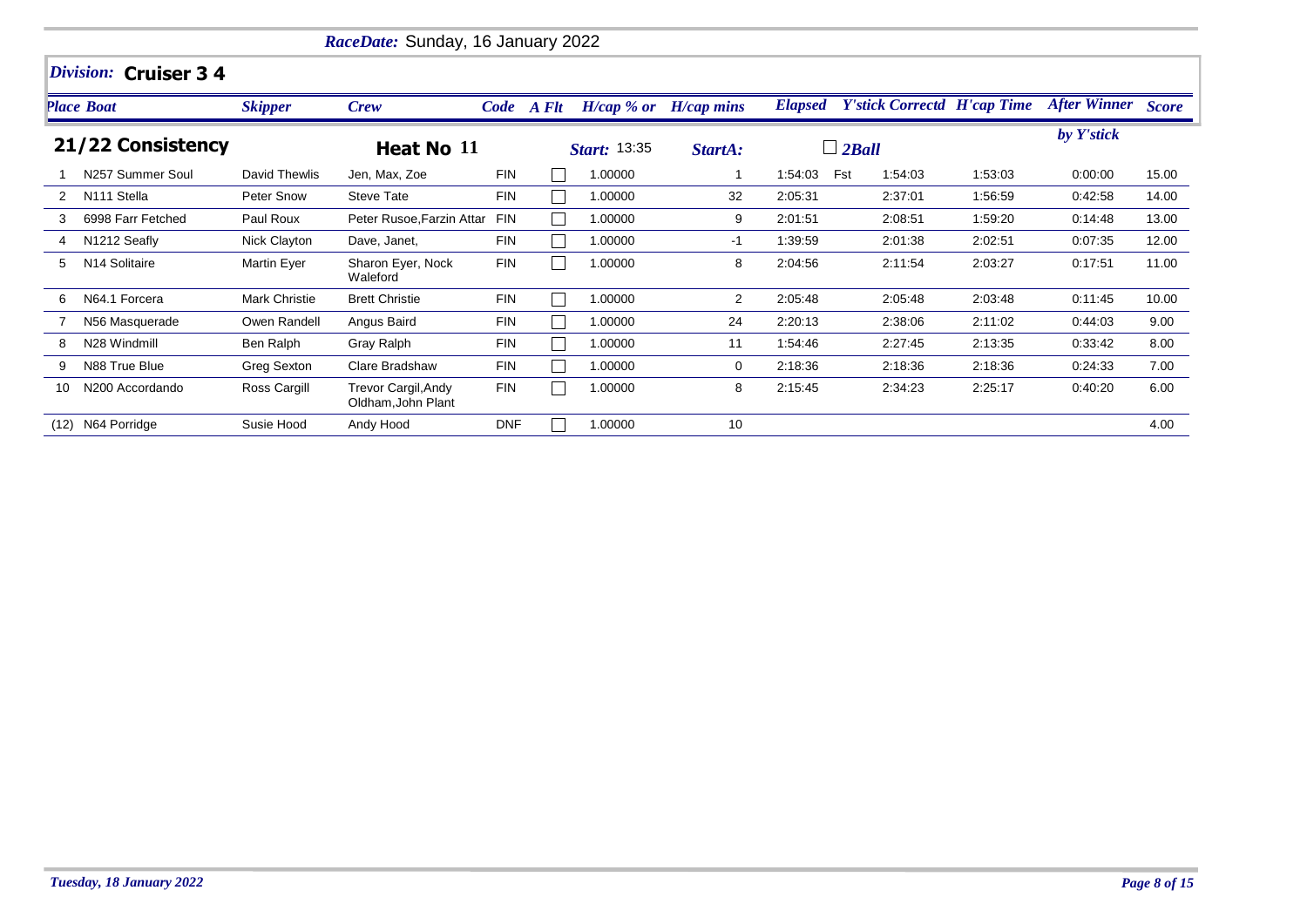|      |                       |                | RaceDate: Sunday, 16 January 2022                |            |            |                     |                           |                |                                    |         |                           |       |
|------|-----------------------|----------------|--------------------------------------------------|------------|------------|---------------------|---------------------------|----------------|------------------------------------|---------|---------------------------|-------|
|      | Division: Cruiser 3 4 |                |                                                  |            |            |                     |                           |                |                                    |         |                           |       |
|      | <b>Place Boat</b>     | <b>Skipper</b> | <b>Crew</b>                                      |            | Code A Flt |                     | $H/cap$ % or $H/cap$ mins | <b>Elapsed</b> | <b>Y'stick Correctd H'cap Time</b> |         | <b>After Winner</b> Score |       |
|      | 21/22 Consistency     |                | Heat No 11                                       |            |            | <b>Start: 13:35</b> | StartA:                   |                | $\Box$ 2Ball                       |         | by Y'stick                |       |
|      | N257 Summer Soul      | David Thewlis  | Jen, Max, Zoe                                    | <b>FIN</b> |            | 1.00000             |                           | 1:54:03        | Fst<br>1:54:03                     | 1:53:03 | 0:00:00                   | 15.00 |
| 2    | N111 Stella           | Peter Snow     | <b>Steve Tate</b>                                | <b>FIN</b> |            | 1.00000             | 32                        | 2:05:31        | 2:37:01                            | 1:56:59 | 0:42:58                   | 14.00 |
| 3    | 6998 Farr Fetched     | Paul Roux      | Peter Rusoe, Farzin Attar                        | <b>FIN</b> |            | 1.00000             | 9                         | 2:01:51        | 2:08:51                            | 1:59:20 | 0:14:48                   | 13.00 |
|      | N1212 Seafly          | Nick Clayton   | Dave, Janet,                                     | <b>FIN</b> |            | 1.00000             | -1                        | 1:39:59        | 2:01:38                            | 2:02:51 | 0:07:35                   | 12.00 |
| 5    | N14 Solitaire         | Martin Eyer    | Sharon Eyer, Nock<br>Waleford                    | <b>FIN</b> |            | 1.00000             | 8                         | 2:04:56        | 2:11:54                            | 2:03:27 | 0.17.51                   | 11.00 |
| 6    | N64.1 Forcera         | Mark Christie  | <b>Brett Christie</b>                            | <b>FIN</b> |            | 1.00000             | 2                         | 2:05:48        | 2:05:48                            | 2:03:48 | 0:11:45                   | 10.00 |
|      | N56 Masquerade        | Owen Randell   | Angus Baird                                      | <b>FIN</b> |            | 1.00000             | 24                        | 2:20:13        | 2:38:06                            | 2:11:02 | 0.44:03                   | 9.00  |
| 8    | N28 Windmill          | Ben Ralph      | Gray Ralph                                       | <b>FIN</b> |            | 1.00000             | 11                        | 1:54:46        | 2:27:45                            | 2:13:35 | 0.33.42                   | 8.00  |
| 9    | N88 True Blue         | Greg Sexton    | Clare Bradshaw                                   | <b>FIN</b> |            | 1.00000             | 0                         | 2:18:36        | 2:18:36                            | 2:18:36 | 0:24:33                   | 7.00  |
| 10   | N200 Accordando       | Ross Cargill   | <b>Trevor Cargil, Andy</b><br>Oldham, John Plant | <b>FIN</b> |            | 1.00000             | 8                         | 2:15:45        | 2:34:23                            | 2:25:17 | 0:40:20                   | 6.00  |
| (12) | N64 Porridge          | Susie Hood     | Andy Hood                                        | <b>DNF</b> |            | 1.00000             | 10                        |                |                                    |         |                           | 4.00  |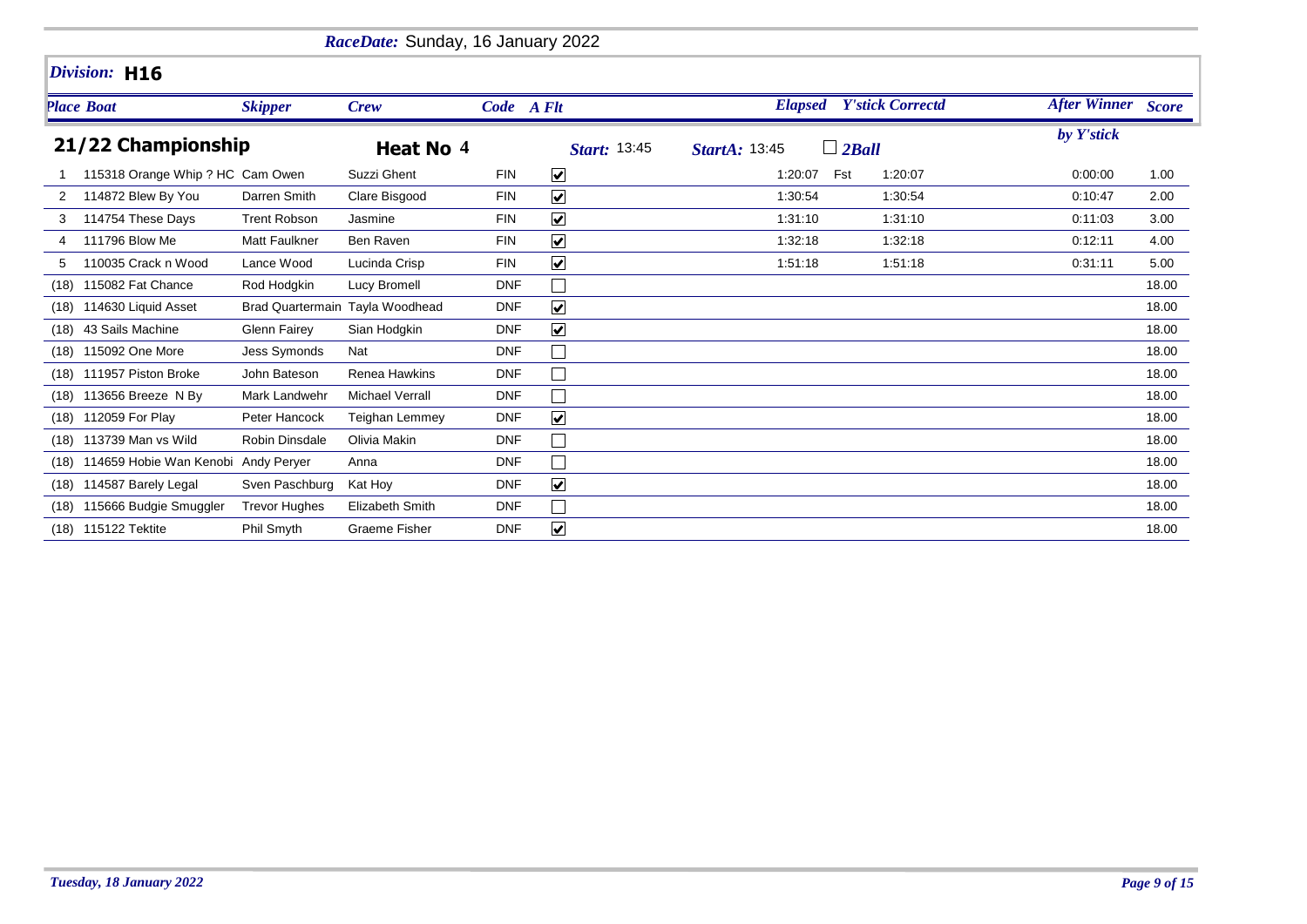|      |                                     |                                 | RaceDate: Sunday, 16 January 2022 |            |                      |                                           |                    |       |
|------|-------------------------------------|---------------------------------|-----------------------------------|------------|----------------------|-------------------------------------------|--------------------|-------|
|      | Division: H16                       |                                 |                                   |            |                      |                                           |                    |       |
|      | <b>Place Boat</b>                   | <b>Skipper</b>                  | <b>Crew</b>                       |            | Code A Flt           | <b>Y'stick Correctd</b><br><b>Elapsed</b> | After Winner Score |       |
|      | 21/22 Championship                  |                                 | Heat No 4                         |            | <b>Start: 13:45</b>  | $\Box$ 2Ball<br><b>StartA: 13:45</b>      | by Y'stick         |       |
|      | 115318 Orange Whip ? HC Cam Owen    |                                 | Suzzi Ghent                       | <b>FIN</b> | $\blacktriangledown$ | Fst<br>1:20:07<br>1:20:07                 | 0:00:00            | 1.00  |
| 2    | 114872 Blew By You                  | Darren Smith                    | Clare Bisgood                     | <b>FIN</b> | $\blacktriangledown$ | 1:30:54<br>1:30:54                        | 0:10:47            | 2.00  |
| 3    | 114754 These Days                   | <b>Trent Robson</b>             | Jasmine                           | <b>FIN</b> | $\blacktriangledown$ | 1:31:10<br>1:31:10                        | 0:11:03            | 3.00  |
| 4    | 111796 Blow Me                      | <b>Matt Faulkner</b>            | Ben Raven                         | <b>FIN</b> | $\blacktriangledown$ | 1:32:18<br>1:32:18                        | 0:12:11            | 4.00  |
| 5    | 110035 Crack n Wood                 | Lance Wood                      | Lucinda Crisp                     | <b>FIN</b> | $\blacktriangledown$ | 1:51:18<br>1:51:18                        | 0:31:11            | 5.00  |
| (18) | 115082 Fat Chance                   | Rod Hodgkin                     | Lucy Bromell                      | <b>DNF</b> |                      |                                           |                    | 18.00 |
| (18) | 114630 Liquid Asset                 | Brad Quartermain Tayla Woodhead |                                   | <b>DNF</b> | $\blacktriangledown$ |                                           |                    | 18.00 |
| (18) | 43 Sails Machine                    | Glenn Fairey                    | Sian Hodgkin                      | <b>DNF</b> | $\blacktriangledown$ |                                           |                    | 18.00 |
| (18) | 115092 One More                     | <b>Jess Symonds</b>             | Nat                               | <b>DNF</b> |                      |                                           |                    | 18.00 |
|      | (18) 111957 Piston Broke            | John Bateson                    | Renea Hawkins                     | <b>DNF</b> | $\Box$               |                                           |                    | 18.00 |
| (18) | 113656 Breeze N By                  | Mark Landwehr                   | <b>Michael Verrall</b>            | <b>DNF</b> |                      |                                           |                    | 18.00 |
| (18) | 112059 For Play                     | Peter Hancock                   | <b>Teighan Lemmey</b>             | <b>DNF</b> | $\blacktriangledown$ |                                           |                    | 18.00 |
| (18) | 113739 Man vs Wild                  | <b>Robin Dinsdale</b>           | Olivia Makin                      | <b>DNF</b> |                      |                                           |                    | 18.00 |
| (18) | 114659 Hobie Wan Kenobi Andy Peryer |                                 | Anna                              | <b>DNF</b> |                      |                                           |                    | 18.00 |
| (18) | 114587 Barely Legal                 | Sven Paschburg                  | Kat Hoy                           | <b>DNF</b> | $\blacktriangledown$ |                                           |                    | 18.00 |
| (18) | 115666 Budgie Smuggler              | <b>Trevor Hughes</b>            | Elizabeth Smith                   | <b>DNF</b> |                      |                                           |                    | 18.00 |
|      | (18) 115122 Tektite                 | Phil Smyth                      | <b>Graeme Fisher</b>              | <b>DNF</b> | $\blacktriangledown$ |                                           |                    | 18.00 |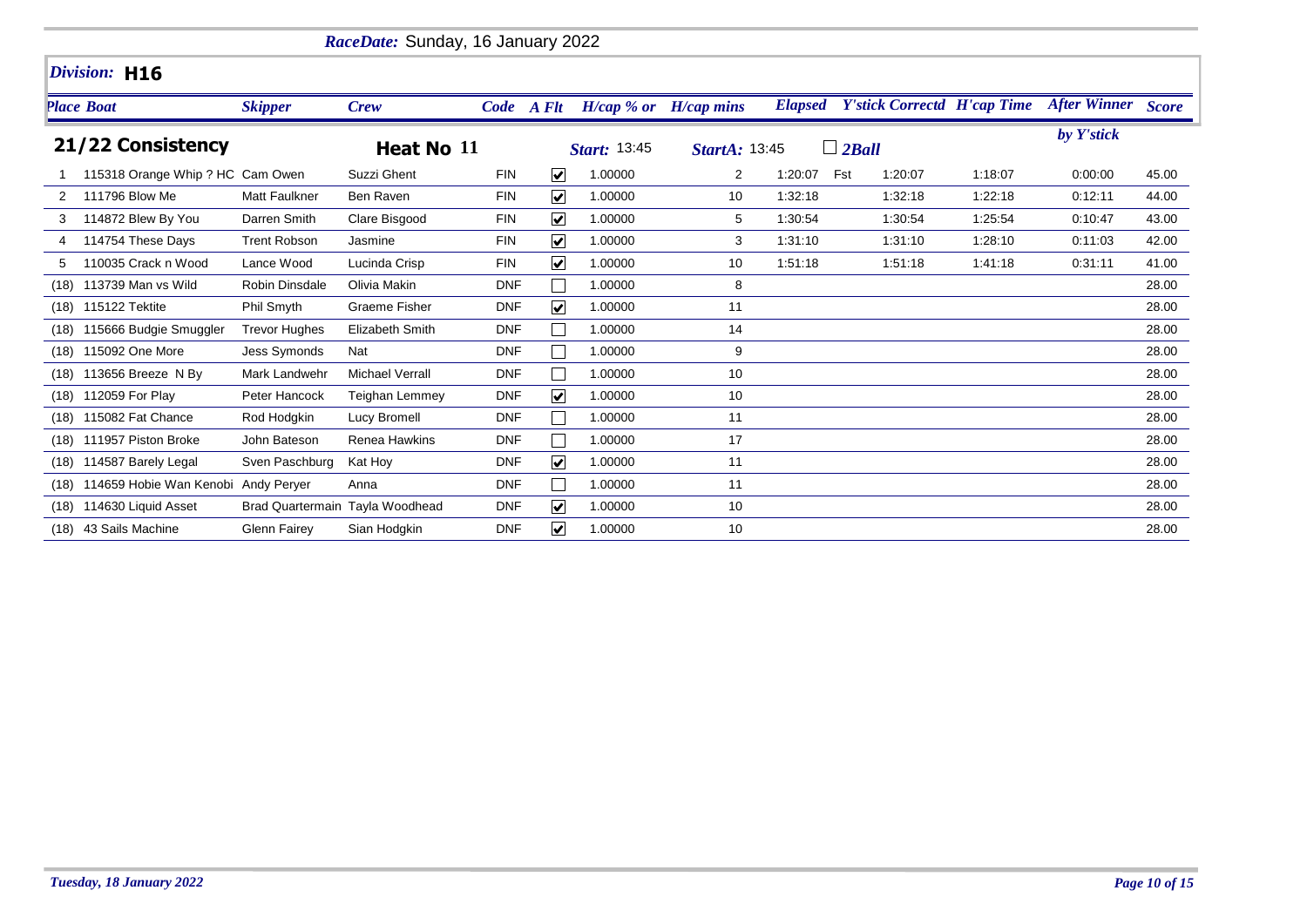|      |                                     |                       | RaceDate: Sunday, 16 January 2022 |            |                         |                        |                      |                |                                    |         |                           |       |
|------|-------------------------------------|-----------------------|-----------------------------------|------------|-------------------------|------------------------|----------------------|----------------|------------------------------------|---------|---------------------------|-------|
|      | Division: H16                       |                       |                                   |            |                         |                        |                      |                |                                    |         |                           |       |
|      | <b>Place Boat</b>                   | <b>Skipper</b>        | <b>Crew</b>                       |            | Code A Flt              | $H/cap \mathcal{A}$ or | $H/cap$ mins         | <b>Elapsed</b> | <b>Y'stick Correctd H'cap Time</b> |         | <b>After Winner Score</b> |       |
|      | 21/22 Consistency                   |                       | Heat No 11                        |            |                         | Start: 13:45           | <b>StartA: 13:45</b> |                | $\Box$ 2Ball                       |         | by Y'stick                |       |
|      | 115318 Orange Whip ? HC Cam Owen    |                       | Suzzi Ghent                       | <b>FIN</b> | $\blacktriangledown$    | 1.00000                | 2                    | 1:20:07        | Fst<br>1:20:07                     | 1:18:07 | 0:00:00                   | 45.00 |
|      | 111796 Blow Me                      | <b>Matt Faulkner</b>  | Ben Raven                         | <b>FIN</b> | $\overline{\mathbf{v}}$ | 1.00000                | 10                   | 1:32:18        | 1:32:18                            | 1:22:18 | 0:12:11                   | 44.00 |
| 3    | 114872 Blew By You                  | Darren Smith          | Clare Bisgood                     | <b>FIN</b> | $\overline{\mathbf{v}}$ | 1.00000                | 5                    | 1:30:54        | 1:30:54                            | 1:25:54 | 0:10:47                   | 43.00 |
|      | 114754 These Days                   | <b>Trent Robson</b>   | Jasmine                           | <b>FIN</b> | $\blacktriangledown$    | 1.00000                | 3                    | 1:31:10        | 1:31:10                            | 1:28:10 | 0:11:03                   | 42.00 |
| 5    | 110035 Crack n Wood                 | Lance Wood            | Lucinda Crisp                     | <b>FIN</b> | $\blacktriangledown$    | 1.00000                | 10                   | 1:51:18        | 1:51:18                            | 1:41:18 | 0:31:11                   | 41.00 |
| (18) | 113739 Man vs Wild                  | <b>Robin Dinsdale</b> | Olivia Makin                      | <b>DNF</b> |                         | 1.00000                | 8                    |                |                                    |         |                           | 28.00 |
| (18) | 115122 Tektite                      | Phil Smyth            | <b>Graeme Fisher</b>              | <b>DNF</b> | $\blacktriangledown$    | 1.00000                | 11                   |                |                                    |         |                           | 28.00 |
| (18) | 115666 Budgie Smuggler              | <b>Trevor Hughes</b>  | <b>Elizabeth Smith</b>            | <b>DNF</b> |                         | 1.00000                | 14                   |                |                                    |         |                           | 28.00 |
| (18) | 115092 One More                     | <b>Jess Symonds</b>   | Nat                               | <b>DNF</b> |                         | 1.00000                | 9                    |                |                                    |         |                           | 28.00 |
| (18) | 113656 Breeze N By                  | Mark Landwehr         | <b>Michael Verrall</b>            | <b>DNF</b> |                         | 1.00000                | 10                   |                |                                    |         |                           | 28.00 |
| (18) | 112059 For Play                     | Peter Hancock         | <b>Teighan Lemmey</b>             | <b>DNF</b> | $\overline{\mathbf{v}}$ | 1.00000                | 10                   |                |                                    |         |                           | 28.00 |
| (18) | 115082 Fat Chance                   | Rod Hodgkin           | Lucy Bromell                      | <b>DNF</b> |                         | 1.00000                | 11                   |                |                                    |         |                           | 28.00 |
| (18) | 111957 Piston Broke                 | John Bateson          | Renea Hawkins                     | <b>DNF</b> |                         | 1.00000                | 17                   |                |                                    |         |                           | 28.00 |
| (18) | 114587 Barely Legal                 | Sven Paschburg        | Kat Hoy                           | <b>DNF</b> | $\blacktriangledown$    | 1.00000                | 11                   |                |                                    |         |                           | 28.00 |
| (18) | 114659 Hobie Wan Kenobi Andy Perver |                       | Anna                              | <b>DNF</b> |                         | 1.00000                | 11                   |                |                                    |         |                           | 28.00 |
| (18) | 114630 Liquid Asset                 |                       | Brad Quartermain Tayla Woodhead   | <b>DNF</b> | $\blacktriangledown$    | 1.00000                | 10                   |                |                                    |         |                           | 28.00 |
| (18) | 43 Sails Machine                    | <b>Glenn Fairey</b>   | Sian Hodgkin                      | <b>DNF</b> | $\blacktriangledown$    | 1.00000                | 10                   |                |                                    |         |                           | 28.00 |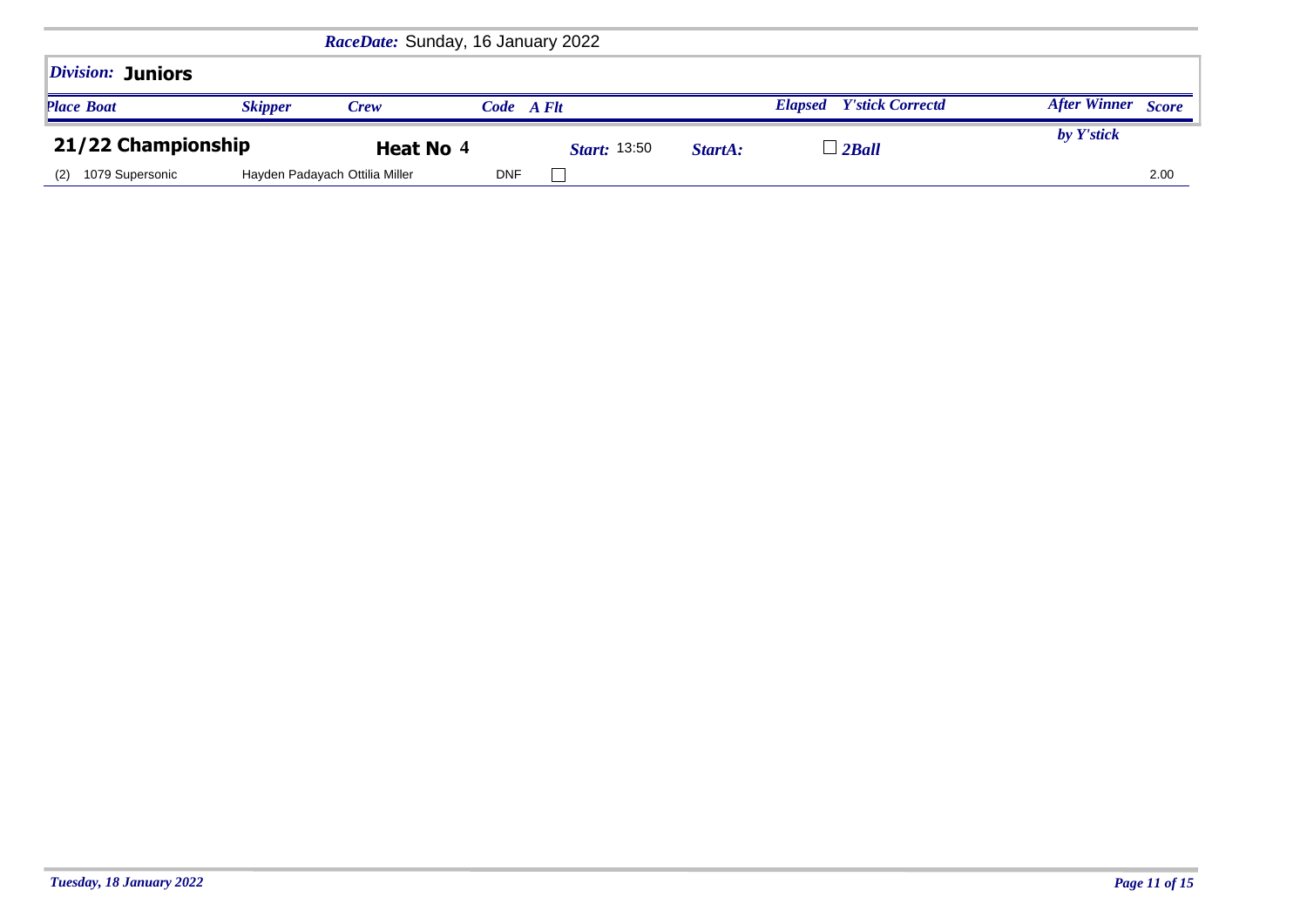|                                 |                | RaceDate: Sunday, 16 January 2022 |            |                      |         |                                           |                                     |
|---------------------------------|----------------|-----------------------------------|------------|----------------------|---------|-------------------------------------------|-------------------------------------|
| <i><b>Division: Juniors</b></i> |                |                                   |            |                      |         |                                           |                                     |
| <b>Place Boat</b>               | <b>Skipper</b> | <b>Crew</b>                       | Code A Flt |                      |         | <b>Y'stick Correctd</b><br><b>Elapsed</b> | <b>After Winner</b><br><b>Score</b> |
| 21/22 Championship              |                | Heat No 4                         |            | <i>Start</i> : 13:50 | StartA: | $\perp$ 2Ball                             | by Y'stick                          |
| 1079 Supersonic<br>(2)          |                | Hayden Padayach Ottilia Miller    | <b>DNF</b> |                      |         |                                           | 2.00                                |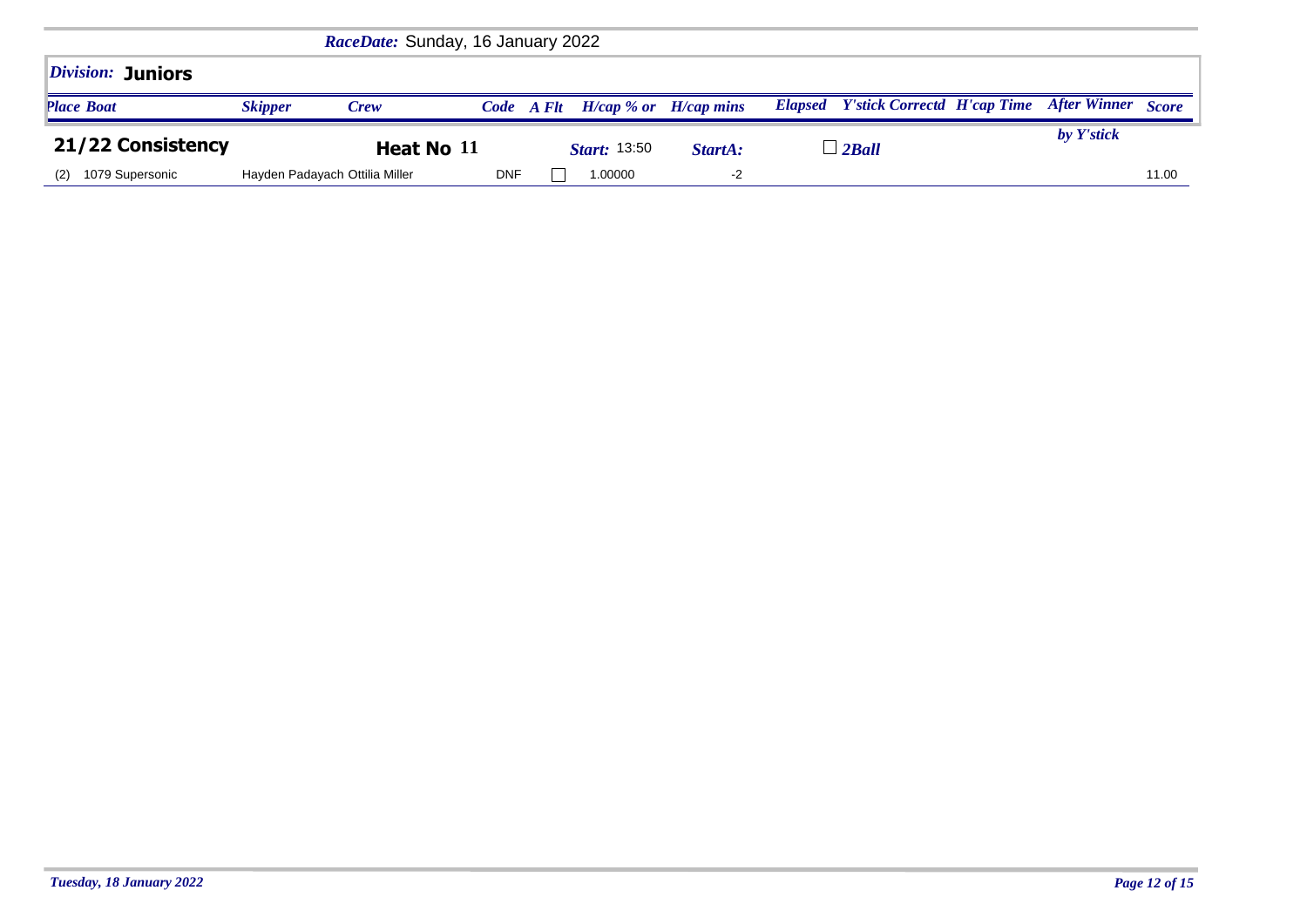|                                 |                | RaceDate: Sunday, 16 January 2022 |            |                           |         |                                            |                           |       |
|---------------------------------|----------------|-----------------------------------|------------|---------------------------|---------|--------------------------------------------|---------------------------|-------|
| <i><b>Division: Juniors</b></i> |                |                                   |            |                           |         |                                            |                           |       |
| <b>Place Boat</b>               | <b>Skipper</b> | <b>Crew</b>                       | Code A Flt | $H/cap$ % or $H/cap$ mins |         | <b>Elapsed</b> Y'stick Correctd H'cap Time | <b>After Winner</b> Score |       |
| 21/22 Consistency               |                | Heat No 11                        |            | <i>Start</i> : 13:50      | StartA: | $\perp$ 2 Ball                             | by Y'stick                |       |
| 1079 Supersonic<br>(2)          |                | Hayden Padayach Ottilia Miller    | <b>DNF</b> | 1.00000                   | $-2$    |                                            |                           | 11.00 |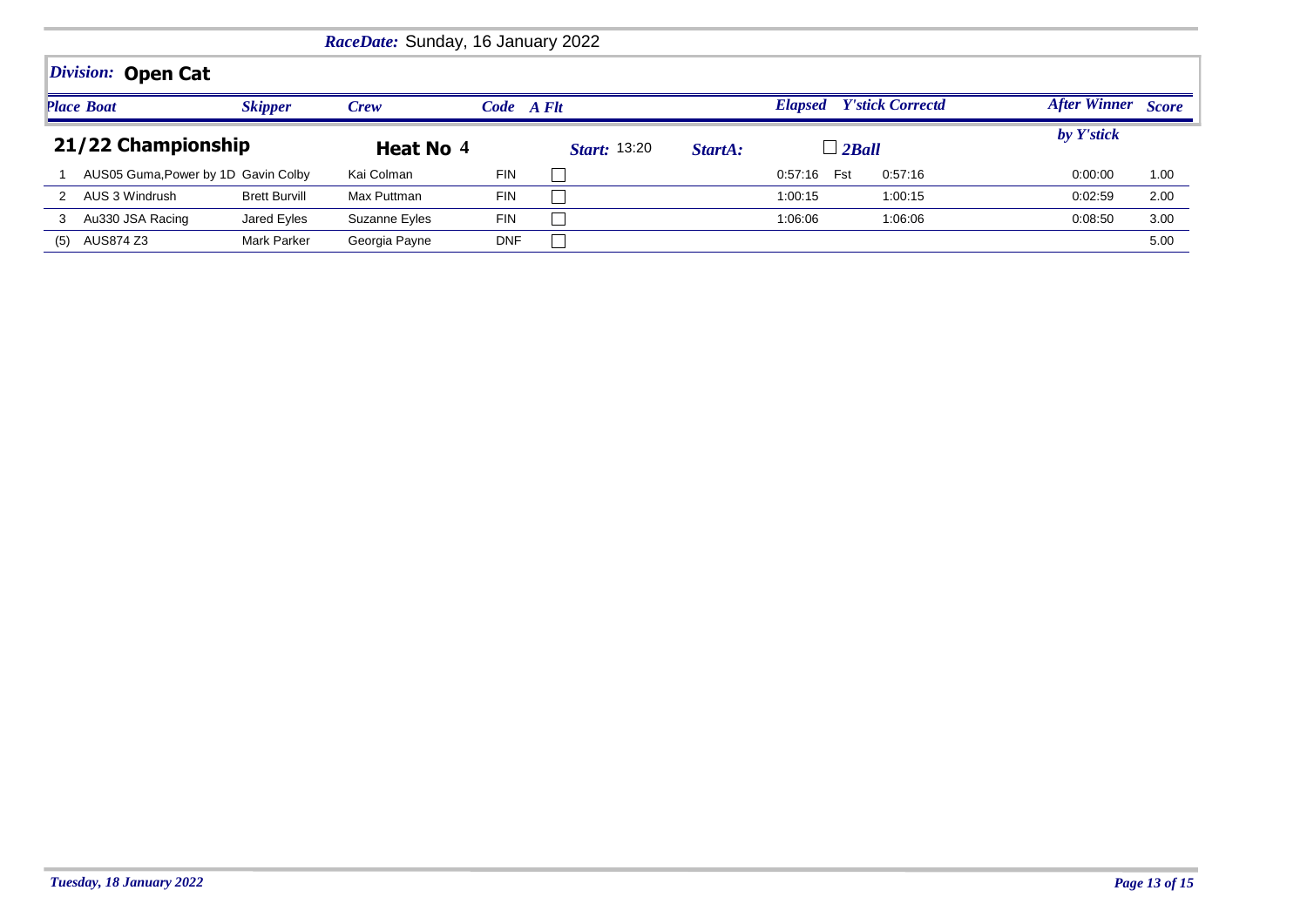|                                     | RaceDate: Sunday, 16 January 2022<br>Division: Open Cat |                      |               |            |                     |                                           |                     |              |            |      |  |  |
|-------------------------------------|---------------------------------------------------------|----------------------|---------------|------------|---------------------|-------------------------------------------|---------------------|--------------|------------|------|--|--|
|                                     |                                                         |                      |               |            |                     |                                           |                     |              |            |      |  |  |
| <b>Place Boat</b><br><b>Skipper</b> |                                                         | <b>Crew</b>          | Code A Flt    |            |                     | <b>Y'stick Correctd</b><br><b>Elapsed</b> | <b>After Winner</b> | <b>Score</b> |            |      |  |  |
| 21/22 Championship                  |                                                         |                      | Heat No 4     |            | <i>Start:</i> 13:20 | StartA:                                   | $\Box$ 2Ball        |              | by Y'stick |      |  |  |
|                                     | AUS05 Guma, Power by 1D Gavin Colby                     |                      | Kai Colman    | <b>FIN</b> |                     |                                           | 0:57:16 Fst         | 0.57:16      | 0:00:00    | 1.00 |  |  |
|                                     | AUS 3 Windrush                                          | <b>Brett Burvill</b> | Max Puttman   | <b>FIN</b> |                     |                                           | 1:00:15             | 1:00:15      | 0:02:59    | 2.00 |  |  |
| 3                                   | Au330 JSA Racing                                        | Jared Eyles          | Suzanne Eyles | <b>FIN</b> |                     |                                           | 1:06:06             | 1:06:06      | 0:08:50    | 3.00 |  |  |
| (5)                                 | AUS874 Z3                                               | Mark Parker          | Georgia Payne | <b>DNF</b> |                     |                                           |                     |              |            | 5.00 |  |  |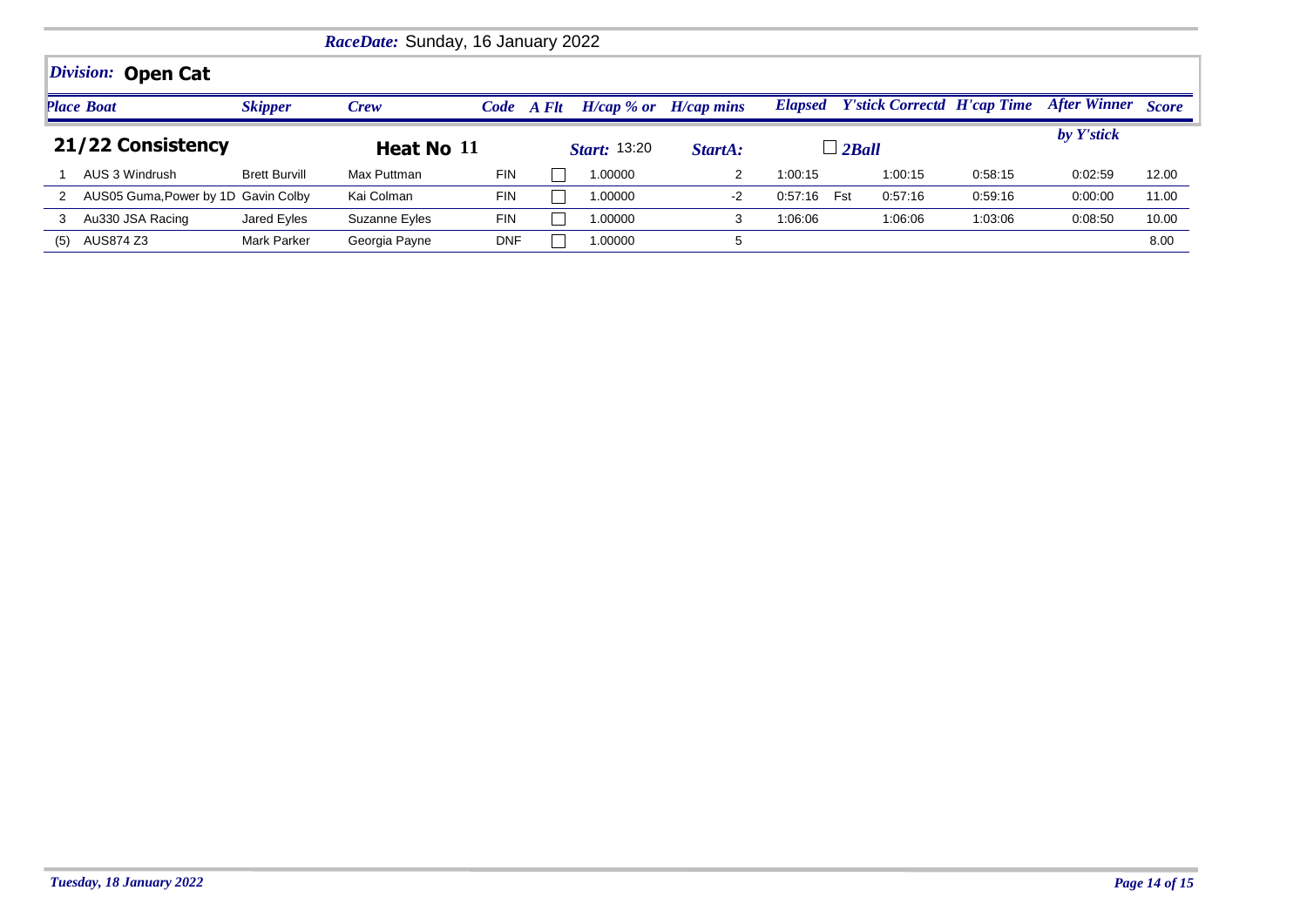|                   | RaceDate: Sunday, 16 January 2022   |                      |               |            |  |                    |                                |                |                                    |         |                           |       |  |
|-------------------|-------------------------------------|----------------------|---------------|------------|--|--------------------|--------------------------------|----------------|------------------------------------|---------|---------------------------|-------|--|
|                   | <i>Division:</i><br><b>Open Cat</b> |                      |               |            |  |                    |                                |                |                                    |         |                           |       |  |
|                   | <b>Place Boat</b>                   | <b>Skipper</b>       | <b>Crew</b>   | Code A Flt |  | $H/cap \, % or \,$ | $H/cap$ mins                   | <b>Elapsed</b> | <b>Y'stick Correctd H'cap Time</b> |         | <b>After Winner Score</b> |       |  |
| 21/22 Consistency |                                     |                      |               | Heat No 11 |  |                    | <b>Start:</b> 13:20<br>StartA: |                | $\perp$ 2 Ball                     |         | by Y'stick                |       |  |
|                   | AUS 3 Windrush                      | <b>Brett Burvill</b> | Max Puttman   | <b>FIN</b> |  | 1.00000            |                                | 1:00:15        | 1:00:15                            | 0:58:15 | 0:02:59                   | 12.00 |  |
|                   | AUS05 Guma, Power by 1D Gavin Colby |                      | Kai Colman    | <b>FIN</b> |  | 1.00000            | $-2$                           | 0.57:16        | Fst<br>0.57:16                     | 0:59:16 | 0:00:00                   | 11.00 |  |
| 3                 | Au330 JSA Racing                    | Jared Eyles          | Suzanne Eyles | <b>FIN</b> |  | 00000.             | 3                              | 1:06:06        | 1:06:06                            | 1:03:06 | 0:08:50                   | 10.00 |  |
| (5)               | AUS874 Z3                           | <b>Mark Parker</b>   | Georgia Payne | <b>DNF</b> |  | 00000.             | 5                              |                |                                    |         |                           | 8.00  |  |